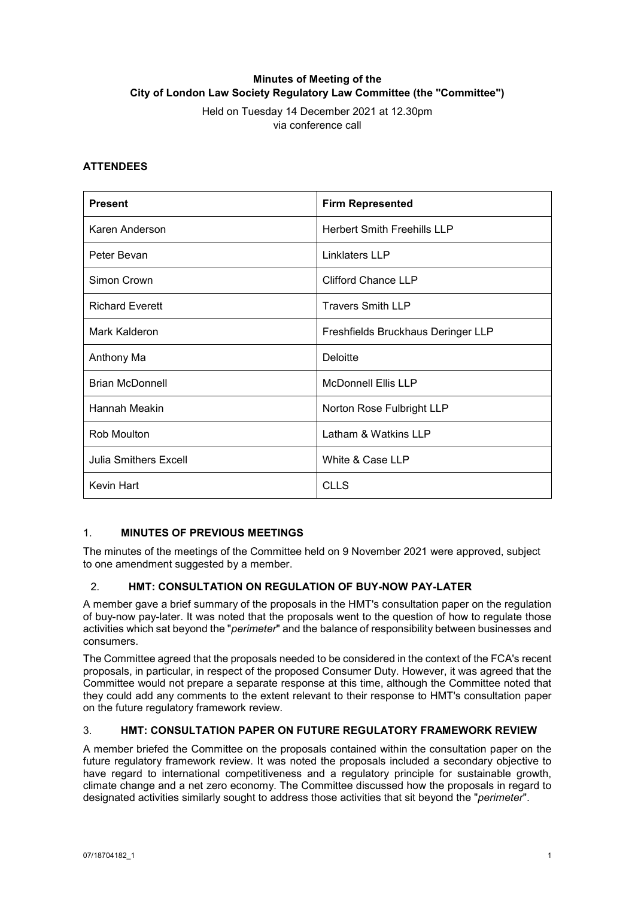# **Minutes of Meeting of the City of London Law Society Regulatory Law Committee (the "Committee")**

Held on Tuesday 14 December 2021 at 12.30pm via conference call

# **ATTENDEES**

| <b>Present</b>               | <b>Firm Represented</b>            |
|------------------------------|------------------------------------|
| Karen Anderson               | <b>Herbert Smith Freehills LLP</b> |
| Peter Bevan                  | Linklaters LLP                     |
| Simon Crown                  | <b>Clifford Chance LLP</b>         |
| <b>Richard Everett</b>       | <b>Travers Smith LLP</b>           |
| Mark Kalderon                | Freshfields Bruckhaus Deringer LLP |
| Anthony Ma                   | Deloitte                           |
| <b>Brian McDonnell</b>       | <b>McDonnell Ellis LLP</b>         |
| Hannah Meakin                | Norton Rose Fulbright LLP          |
| Rob Moulton                  | Latham & Watkins LLP               |
| <b>Julia Smithers Excell</b> | White & Case LLP                   |
| Kevin Hart                   | <b>CLLS</b>                        |

# 1. **MINUTES OF PREVIOUS MEETINGS**

The minutes of the meetings of the Committee held on 9 November 2021 were approved, subject to one amendment suggested by a member.

# 2. **HMT: CONSULTATION ON REGULATION OF BUY-NOW PAY-LATER**

A member gave a brief summary of the proposals in the HMT's consultation paper on the regulation of buy-now pay-later. It was noted that the proposals went to the question of how to regulate those activities which sat beyond the "*perimeter*" and the balance of responsibility between businesses and consumers.

The Committee agreed that the proposals needed to be considered in the context of the FCA's recent proposals, in particular, in respect of the proposed Consumer Duty. However, it was agreed that the Committee would not prepare a separate response at this time, although the Committee noted that they could add any comments to the extent relevant to their response to HMT's consultation paper on the future regulatory framework review.

# 3. **HMT: CONSULTATION PAPER ON FUTURE REGULATORY FRAMEWORK REVIEW**

A member briefed the Committee on the proposals contained within the consultation paper on the future regulatory framework review. It was noted the proposals included a secondary objective to have regard to international competitiveness and a regulatory principle for sustainable growth, climate change and a net zero economy. The Committee discussed how the proposals in regard to designated activities similarly sought to address those activities that sit beyond the "*perimeter*".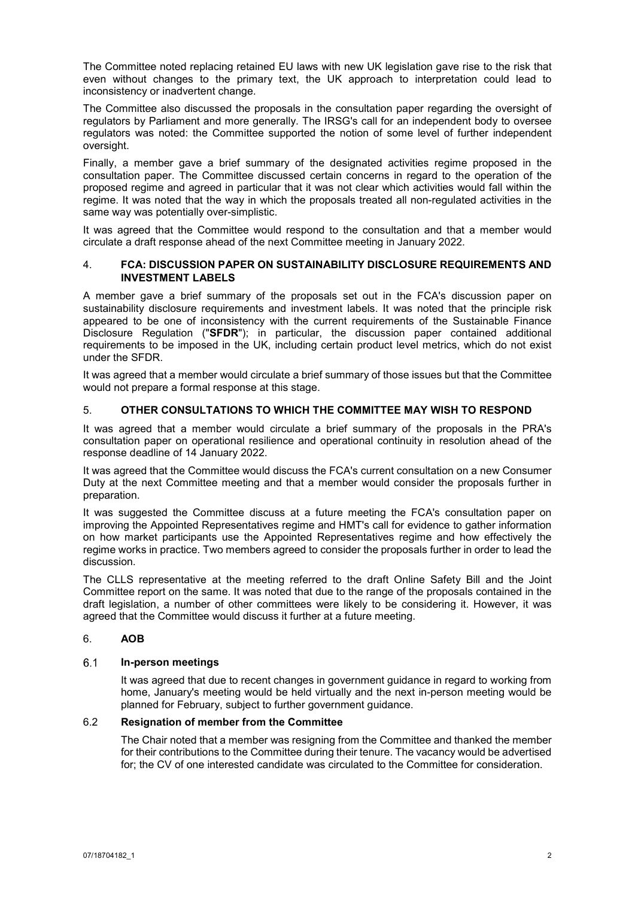The Committee noted replacing retained EU laws with new UK legislation gave rise to the risk that even without changes to the primary text, the UK approach to interpretation could lead to inconsistency or inadvertent change.

The Committee also discussed the proposals in the consultation paper regarding the oversight of regulators by Parliament and more generally. The IRSG's call for an independent body to oversee regulators was noted: the Committee supported the notion of some level of further independent oversight.

Finally, a member gave a brief summary of the designated activities regime proposed in the consultation paper. The Committee discussed certain concerns in regard to the operation of the proposed regime and agreed in particular that it was not clear which activities would fall within the regime. It was noted that the way in which the proposals treated all non-regulated activities in the same way was potentially over-simplistic.

It was agreed that the Committee would respond to the consultation and that a member would circulate a draft response ahead of the next Committee meeting in January 2022.

### 4. **FCA: DISCUSSION PAPER ON SUSTAINABILITY DISCLOSURE REQUIREMENTS AND INVESTMENT LABELS**

A member gave a brief summary of the proposals set out in the FCA's discussion paper on sustainability disclosure requirements and investment labels. It was noted that the principle risk appeared to be one of inconsistency with the current requirements of the Sustainable Finance Disclosure Regulation ("**SFDR**"); in particular, the discussion paper contained additional requirements to be imposed in the UK, including certain product level metrics, which do not exist under the SFDR.

It was agreed that a member would circulate a brief summary of those issues but that the Committee would not prepare a formal response at this stage.

# 5. **OTHER CONSULTATIONS TO WHICH THE COMMITTEE MAY WISH TO RESPOND**

It was agreed that a member would circulate a brief summary of the proposals in the PRA's consultation paper on operational resilience and operational continuity in resolution ahead of the response deadline of 14 January 2022.

It was agreed that the Committee would discuss the FCA's current consultation on a new Consumer Duty at the next Committee meeting and that a member would consider the proposals further in preparation.

It was suggested the Committee discuss at a future meeting the FCA's consultation paper on improving the Appointed Representatives regime and HMT's call for evidence to gather information on how market participants use the Appointed Representatives regime and how effectively the regime works in practice. Two members agreed to consider the proposals further in order to lead the discussion.

The CLLS representative at the meeting referred to the draft Online Safety Bill and the Joint Committee report on the same. It was noted that due to the range of the proposals contained in the draft legislation, a number of other committees were likely to be considering it. However, it was agreed that the Committee would discuss it further at a future meeting.

# 6. **AOB**

#### $6.1$ **In-person meetings**

It was agreed that due to recent changes in government guidance in regard to working from home, January's meeting would be held virtually and the next in-person meeting would be planned for February, subject to further government guidance.

# 6.2 **Resignation of member from the Committee**

The Chair noted that a member was resigning from the Committee and thanked the member for their contributions to the Committee during their tenure. The vacancy would be advertised for; the CV of one interested candidate was circulated to the Committee for consideration.